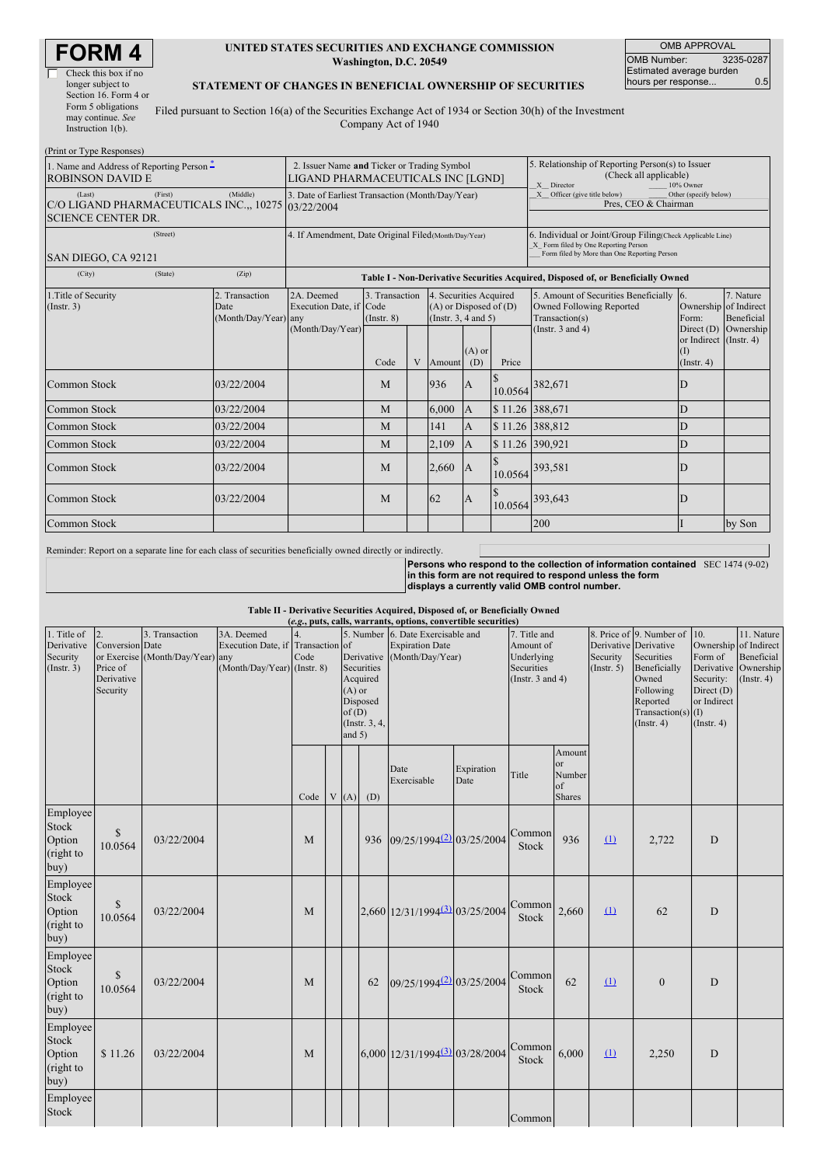| RM                   |  |
|----------------------|--|
| Check this box if no |  |

Check this box if no longer subject to Section 16. Form 4 or Form 5 obligations may continue. *See* Instruction 1(b).

#### **UNITED STATES SECURITIES AND EXCHANGE COMMISSION Washington, D.C. 20549**

OMB APPROVAL OMB Number: 3235-0287 Estimated average burden hours per response... 0.5

### **STATEMENT OF CHANGES IN BENEFICIAL OWNERSHIP OF SECURITIES**

Filed pursuant to Section 16(a) of the Securities Exchange Act of 1934 or Section 30(h) of the Investment Company Act of 1940

| (Print or Type Responses)                                                                            |                                                                                                                                                                                                             |                                                                                  |                                   |   |        |                                                                                                       |                                                                               |                                                                                    |                                                   |                         |
|------------------------------------------------------------------------------------------------------|-------------------------------------------------------------------------------------------------------------------------------------------------------------------------------------------------------------|----------------------------------------------------------------------------------|-----------------------------------|---|--------|-------------------------------------------------------------------------------------------------------|-------------------------------------------------------------------------------|------------------------------------------------------------------------------------|---------------------------------------------------|-------------------------|
| 1. Name and Address of Reporting Person $\ddot{\text{-}}$<br><b>ROBINSON DAVID E</b>                 | 2. Issuer Name and Ticker or Trading Symbol<br>LIGAND PHARMACEUTICALS INC [LGND]                                                                                                                            |                                                                                  |                                   |   |        | 5. Relationship of Reporting Person(s) to Issuer<br>(Check all applicable)<br>X Director<br>10% Owner |                                                                               |                                                                                    |                                                   |                         |
| (Last)<br>(First)<br>C/O LIGAND PHARMACEUTICALS INC.,, 10275 03/22/2004<br><b>SCIENCE CENTER DR.</b> | 3. Date of Earliest Transaction (Month/Day/Year)                                                                                                                                                            |                                                                                  |                                   |   |        |                                                                                                       | X Officer (give title below)<br>Other (specify below)<br>Pres, CEO & Chairman |                                                                                    |                                                   |                         |
| (Street)<br>SAN DIEGO, CA 92121                                                                      | 4. If Amendment, Date Original Filed (Month/Day/Year)<br>6. Individual or Joint/Group Filing(Check Applicable Line)<br>X Form filed by One Reporting Person<br>Form filed by More than One Reporting Person |                                                                                  |                                   |   |        |                                                                                                       |                                                                               |                                                                                    |                                                   |                         |
| (City)<br>(State)                                                                                    | (Zip)                                                                                                                                                                                                       | Table I - Non-Derivative Securities Acquired, Disposed of, or Beneficially Owned |                                   |   |        |                                                                                                       |                                                                               |                                                                                    |                                                   |                         |
| 1. Title of Security<br>(Insert. 3)                                                                  | 2. Transaction<br>Date<br>(Month/Day/Year) any                                                                                                                                                              | 2A. Deemed<br>Execution Date, if Code                                            | 3. Transaction<br>$($ Instr. $8)$ |   |        | 4. Securities Acquired<br>$(A)$ or Disposed of $(D)$<br>(Insert. 3, 4 and 5)                          |                                                                               | 5. Amount of Securities Beneficially<br>Owned Following Reported<br>Transaction(s) | 16.<br>Ownership of Indirect<br>Form:             | 7. Nature<br>Beneficial |
|                                                                                                      |                                                                                                                                                                                                             | (Month/Day/Year)                                                                 | Code                              | V | Amount | $(A)$ or<br>(D)                                                                                       | Price                                                                         | (Instr. $3$ and $4$ )                                                              | or Indirect (Instr. 4)<br>(I)<br>$($ Instr. 4 $)$ | Direct (D) Ownership    |
| Common Stock                                                                                         | 03/22/2004                                                                                                                                                                                                  |                                                                                  | M                                 |   | 936    | $\overline{A}$                                                                                        | 10.0564                                                                       | 382,671                                                                            | D                                                 |                         |
| Common Stock                                                                                         | 03/22/2004                                                                                                                                                                                                  |                                                                                  | M                                 |   | 6,000  | $\mathsf{A}$                                                                                          | \$11.26 388,671                                                               |                                                                                    | D                                                 |                         |
| Common Stock                                                                                         | 03/22/2004                                                                                                                                                                                                  |                                                                                  | M                                 |   | 141    | $\overline{A}$                                                                                        |                                                                               | \$11.26 388,812                                                                    | D                                                 |                         |
| Common Stock                                                                                         | 03/22/2004                                                                                                                                                                                                  |                                                                                  | M                                 |   | 2,109  | $\mathsf{A}$                                                                                          | \$11.26 390,921                                                               |                                                                                    | D                                                 |                         |
| Common Stock                                                                                         | 03/22/2004                                                                                                                                                                                                  |                                                                                  | M                                 |   | 2,660  | $\mathbf{A}$                                                                                          | 10.0564                                                                       | 393,581                                                                            | D                                                 |                         |
| Common Stock                                                                                         | 03/22/2004                                                                                                                                                                                                  |                                                                                  | M                                 |   | 62     | $\overline{A}$                                                                                        | 10.0564                                                                       | 393,643                                                                            | D                                                 |                         |
| Common Stock                                                                                         |                                                                                                                                                                                                             |                                                                                  |                                   |   |        |                                                                                                       |                                                                               | 200                                                                                |                                                   | by Son                  |

Reminder: Report on a separate line for each class of securities beneficially owned directly or indirectly.

**Persons who respond to the collection of information contained** SEC 1474 (9-02) **in this form are not required to respond unless the form displays a currently valid OMB control number.**

**Table II - Derivative Securities Acquired, Disposed of, or Beneficially Owned**

| (e.g., puts, calls, warrants, options, convertible securities) |                                                             |                                                    |                                                                                |      |  |                               |                                                                   |                                                                                 |                    |                                              |                                                      |                                       |                  |                         |                                                                                                                                                               |                                                                                                      |                                                                          |
|----------------------------------------------------------------|-------------------------------------------------------------|----------------------------------------------------|--------------------------------------------------------------------------------|------|--|-------------------------------|-------------------------------------------------------------------|---------------------------------------------------------------------------------|--------------------|----------------------------------------------|------------------------------------------------------|---------------------------------------|------------------|-------------------------|---------------------------------------------------------------------------------------------------------------------------------------------------------------|------------------------------------------------------------------------------------------------------|--------------------------------------------------------------------------|
| 1. Title of<br>Derivative<br>Security<br>(Insert. 3)           | 2.<br>Conversion Date<br>Price of<br>Derivative<br>Security | 3. Transaction<br>or Exercise (Month/Day/Year) any | 3A. Deemed<br>Execution Date, if Transaction of<br>(Month/Day/Year) (Instr. 8) | Code |  | $(A)$ or<br>of(D)<br>and $5)$ | Derivative<br>Securities<br>Acquired<br>Disposed<br>(Instr. 3, 4, | 5. Number 6. Date Exercisable and<br><b>Expiration Date</b><br>(Month/Day/Year) |                    | Amount of<br>Underlying<br><b>Securities</b> |                                                      | 7. Title and<br>(Instr. $3$ and $4$ ) |                  | Security<br>(Insert. 5) | 8. Price of 9. Number of<br>Derivative Derivative<br>Securities<br>Beneficially<br>Owned<br>Following<br>Reported<br>Transaction(s) $(I)$<br>$($ Instr. 4 $)$ | 10.<br>Ownership<br>Form of<br>Derivative<br>Security:<br>Direct $(D)$<br>or Indirect<br>(Insert. 4) | 11. Nature<br>of Indirect<br>Beneficial<br>Ownership<br>$($ Instr. 4 $)$ |
|                                                                |                                                             |                                                    |                                                                                | Code |  | V(A)                          | (D)                                                               | Date<br>Exercisable                                                             | Expiration<br>Date | Title                                        | Amount<br><b>or</b><br>Number<br>of<br><b>Shares</b> |                                       |                  |                         |                                                                                                                                                               |                                                                                                      |                                                                          |
| Employee<br>Stock<br>Option<br>(right to<br>buy)               | $\mathbb{S}$<br>10.0564                                     | 03/22/2004                                         |                                                                                | M    |  |                               | 936                                                               | 09/25/1994 <sup>(2)</sup> 03/25/2004                                            |                    | Common<br>Stock                              | 936                                                  | (1)                                   | 2,722            | D                       |                                                                                                                                                               |                                                                                                      |                                                                          |
| Employee<br>Stock<br>Option<br>(right to<br>buy)               | \$<br>10.0564                                               | 03/22/2004                                         |                                                                                | M    |  |                               |                                                                   | 2,660 12/31/1994 <sup>(3)</sup> 03/25/2004                                      |                    | Common<br>Stock                              | 2,660                                                | (1)                                   | 62               | D                       |                                                                                                                                                               |                                                                                                      |                                                                          |
| Employee<br>Stock<br>Option<br>(right to<br>buy)               | \$<br>10.0564                                               | 03/22/2004                                         |                                                                                | M    |  |                               | 62                                                                | 09/25/1994 <sup>(2)</sup> 03/25/2004                                            |                    | Common<br>Stock                              | 62                                                   | (1)                                   | $\boldsymbol{0}$ | D                       |                                                                                                                                                               |                                                                                                      |                                                                          |
| Employee<br>Stock<br>Option<br>(right to<br>buy)               | \$11.26                                                     | 03/22/2004                                         |                                                                                | M    |  |                               |                                                                   | 6,000 12/31/1994 <sup>(3)</sup> 03/28/2004                                      |                    | Common<br>Stock                              | 6,000                                                | (1)                                   | 2,250            | D                       |                                                                                                                                                               |                                                                                                      |                                                                          |
| Employee<br>Stock                                              |                                                             |                                                    |                                                                                |      |  |                               |                                                                   |                                                                                 |                    | Common                                       |                                                      |                                       |                  |                         |                                                                                                                                                               |                                                                                                      |                                                                          |